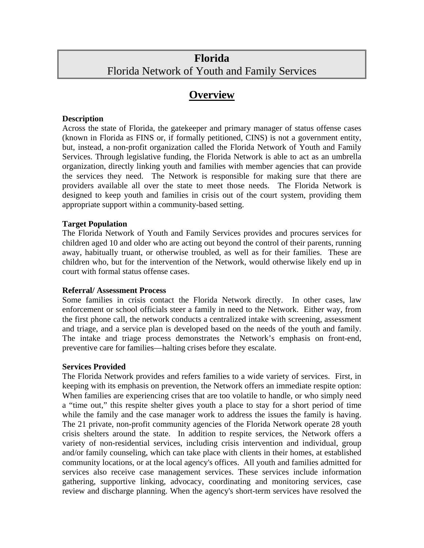## **Florida** Florida Network of Youth and Family Services

## **Overview**

## **Description**

Across the state of Florida, the gatekeeper and primary manager of status offense cases (known in Florida as FINS or, if formally petitioned, CINS) is not a government entity, but, instead, a non-profit organization called the Florida Network of Youth and Family Services. Through legislative funding, the Florida Network is able to act as an umbrella organization, directly linking youth and families with member agencies that can provide the services they need. The Network is responsible for making sure that there are providers available all over the state to meet those needs. The Florida Network is designed to keep youth and families in crisis out of the court system, providing them appropriate support within a community-based setting.

## **Target Population**

The Florida Network of Youth and Family Services provides and procures services for children aged 10 and older who are acting out beyond the control of their parents, running away, habitually truant, or otherwise troubled, as well as for their families. These are children who, but for the intervention of the Network, would otherwise likely end up in court with formal status offense cases.

## **Referral/ Assessment Process**

Some families in crisis contact the Florida Network directly. In other cases, law enforcement or school officials steer a family in need to the Network. Either way, from the first phone call, the network conducts a centralized intake with screening, assessment and triage, and a service plan is developed based on the needs of the youth and family. The intake and triage process demonstrates the Network's emphasis on front-end, preventive care for families—halting crises before they escalate.

## **Services Provided**

The Florida Network provides and refers families to a wide variety of services. First, in keeping with its emphasis on prevention, the Network offers an immediate respite option: When families are experiencing crises that are too volatile to handle, or who simply need a "time out," this respite shelter gives youth a place to stay for a short period of time while the family and the case manager work to address the issues the family is having. The 21 private, non-profit community agencies of the Florida Network operate 28 youth crisis shelters around the state. In addition to respite services, the Network offers a variety of non-residential services, including crisis intervention and individual, group and/or family counseling, which can take place with clients in their homes, at established community locations, or at the local agency's offices. All youth and families admitted for services also receive case management services. These services include information gathering, supportive linking, advocacy, coordinating and monitoring services, case review and discharge planning. When the agency's short-term services have resolved the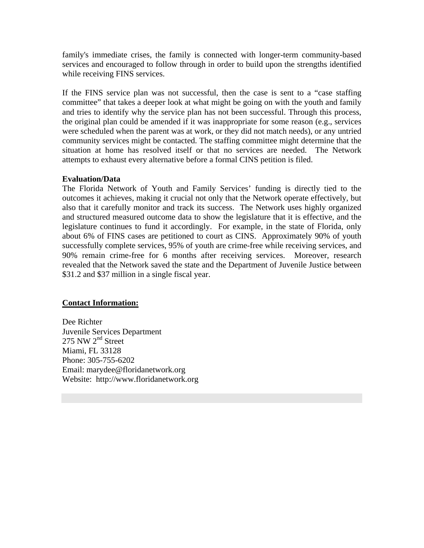family's immediate crises, the family is connected with longer-term community-based services and encouraged to follow through in order to build upon the strengths identified while receiving FINS services.

If the FINS service plan was not successful, then the case is sent to a "case staffing committee" that takes a deeper look at what might be going on with the youth and family and tries to identify why the service plan has not been successful. Through this process, the original plan could be amended if it was inappropriate for some reason (e.g., services were scheduled when the parent was at work, or they did not match needs), or any untried community services might be contacted. The staffing committee might determine that the situation at home has resolved itself or that no services are needed. The Network attempts to exhaust every alternative before a formal CINS petition is filed.

## **Evaluation/Data**

The Florida Network of Youth and Family Services' funding is directly tied to the outcomes it achieves, making it crucial not only that the Network operate effectively, but also that it carefully monitor and track its success. The Network uses highly organized and structured measured outcome data to show the legislature that it is effective, and the legislature continues to fund it accordingly. For example, in the state of Florida, only about 6% of FINS cases are petitioned to court as CINS. Approximately 90% of youth successfully complete services, 95% of youth are crime-free while receiving services, and 90% remain crime-free for 6 months after receiving services. Moreover, research revealed that the Network saved the state and the Department of Juvenile Justice between \$31.2 and \$37 million in a single fiscal year.

## **Contact Information:**

Dee Richter Juvenile Services Department  $275$  NW  $2<sup>nd</sup>$  Street Miami, FL 33128 Phone: 305-755-6202 Email: marydee@floridanetwork.org Website: http://www.floridanetwork.org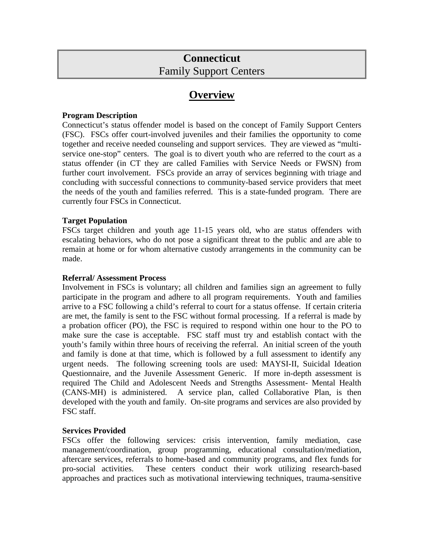# **Connecticut**  Family Support Centers

## **Overview**

## **Program Description**

Connecticut's status offender model is based on the concept of Family Support Centers (FSC). FSCs offer court-involved juveniles and their families the opportunity to come together and receive needed counseling and support services. They are viewed as "multiservice one-stop" centers. The goal is to divert youth who are referred to the court as a status offender (in CT they are called Families with Service Needs or FWSN) from further court involvement. FSCs provide an array of services beginning with triage and concluding with successful connections to community-based service providers that meet the needs of the youth and families referred. This is a state-funded program. There are currently four FSCs in Connecticut.

## **Target Population**

FSCs target children and youth age 11-15 years old, who are status offenders with escalating behaviors, who do not pose a significant threat to the public and are able to remain at home or for whom alternative custody arrangements in the community can be made.

## **Referral/ Assessment Process**

Involvement in FSCs is voluntary; all children and families sign an agreement to fully participate in the program and adhere to all program requirements. Youth and families arrive to a FSC following a child's referral to court for a status offense. If certain criteria are met, the family is sent to the FSC without formal processing. If a referral is made by a probation officer (PO), the FSC is required to respond within one hour to the PO to make sure the case is acceptable. FSC staff must try and establish contact with the youth's family within three hours of receiving the referral. An initial screen of the youth and family is done at that time, which is followed by a full assessment to identify any urgent needs. The following screening tools are used: MAYSI-II, Suicidal Ideation Questionnaire, and the Juvenile Assessment Generic. If more in-depth assessment is required The Child and Adolescent Needs and Strengths Assessment- Mental Health (CANS-MH) is administered. A service plan, called Collaborative Plan, is then developed with the youth and family. On-site programs and services are also provided by FSC staff.

## **Services Provided**

FSCs offer the following services: crisis intervention, family mediation, case management/coordination, group programming, educational consultation/mediation, aftercare services, referrals to home-based and community programs, and flex funds for pro-social activities. These centers conduct their work utilizing research-based approaches and practices such as motivational interviewing techniques, trauma-sensitive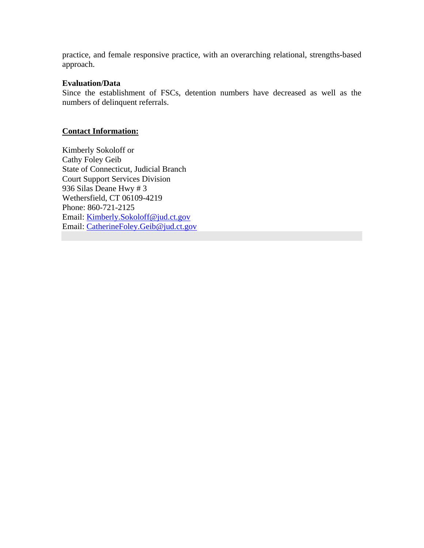practice, and female responsive practice, with an overarching relational, strengths-based approach.

## **Evaluation/Data**

Since the establishment of FSCs, detention numbers have decreased as well as the numbers of delinquent referrals.

## **Contact Information:**

Kimberly Sokoloff or Cathy Foley Geib State of Connecticut, Judicial Branch Court Support Services Division 936 Silas Deane Hwy # 3 Wethersfield, CT 06109-4219 Phone: 860-721-2125 Email: Kimberly.Sokoloff@jud.ct.gov Email: CatherineFoley.Geib@jud.ct.gov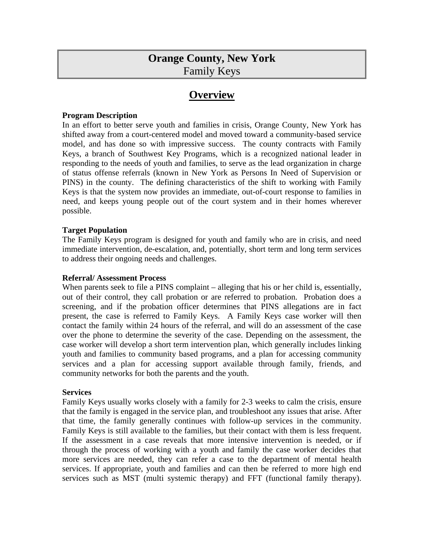## **Orange County, New York**  Family Keys

## **Overview**

#### **Program Description**

In an effort to better serve youth and families in crisis, Orange County, New York has shifted away from a court-centered model and moved toward a community-based service model, and has done so with impressive success. The county contracts with Family Keys, a branch of Southwest Key Programs, which is a recognized national leader in responding to the needs of youth and families, to serve as the lead organization in charge of status offense referrals (known in New York as Persons In Need of Supervision or PINS) in the county. The defining characteristics of the shift to working with Family Keys is that the system now provides an immediate, out-of-court response to families in need, and keeps young people out of the court system and in their homes wherever possible.

#### **Target Population**

The Family Keys program is designed for youth and family who are in crisis, and need immediate intervention, de-escalation, and, potentially, short term and long term services to address their ongoing needs and challenges.

#### **Referral/ Assessment Process**

When parents seek to file a PINS complaint – alleging that his or her child is, essentially, out of their control, they call probation or are referred to probation. Probation does a screening, and if the probation officer determines that PINS allegations are in fact present, the case is referred to Family Keys. A Family Keys case worker will then contact the family within 24 hours of the referral, and will do an assessment of the case over the phone to determine the severity of the case. Depending on the assessment, the case worker will develop a short term intervention plan, which generally includes linking youth and families to community based programs, and a plan for accessing community services and a plan for accessing support available through family, friends, and community networks for both the parents and the youth.

#### **Services**

Family Keys usually works closely with a family for 2-3 weeks to calm the crisis, ensure that the family is engaged in the service plan, and troubleshoot any issues that arise. After that time, the family generally continues with follow-up services in the community. Family Keys is still available to the families, but their contact with them is less frequent. If the assessment in a case reveals that more intensive intervention is needed, or if through the process of working with a youth and family the case worker decides that more services are needed, they can refer a case to the department of mental health services. If appropriate, youth and families and can then be referred to more high end services such as MST (multi systemic therapy) and FFT (functional family therapy).